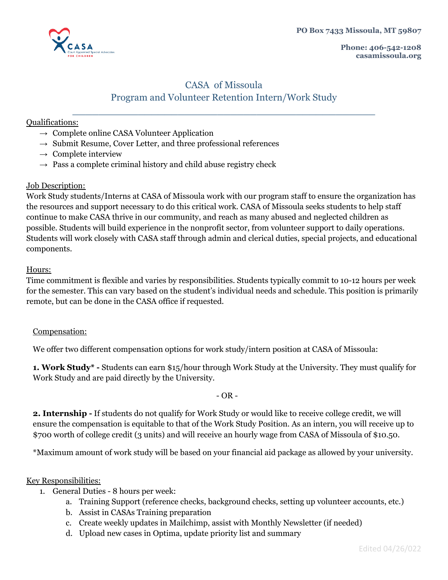

**Phone: 406-542-1208 casamissoula.org**

# CASA of Missoula Program and Volunteer Retention Intern/Work Study

\_\_\_\_\_\_\_\_\_\_\_\_\_\_\_\_\_\_\_\_\_\_\_\_\_\_\_\_\_\_\_\_\_\_\_\_\_\_\_\_\_\_\_\_\_\_

## Qualifications:

- $\rightarrow$  Complete online CASA Volunteer Application
- $\rightarrow$  Submit Resume, Cover Letter, and three professional references
- $\rightarrow$  Complete interview
- $\rightarrow$  Pass a complete criminal history and child abuse registry check

## Job Description:

Work Study students/Interns at CASA of Missoula work with our program staff to ensure the organization has the resources and support necessary to do this critical work. CASA of Missoula seeks students to help staff continue to make CASA thrive in our community, and reach as many abused and neglected children as possible. Students will build experience in the nonprofit sector, from volunteer support to daily operations. Students will work closely with CASA staff through admin and clerical duties, special projects, and educational components.

## Hours:

Time commitment is flexible and varies by responsibilities. Students typically commit to 10-12 hours per week for the semester. This can vary based on the student's individual needs and schedule. This position is primarily remote, but can be done in the CASA office if requested.

## Compensation:

We offer two different compensation options for work study/intern position at CASA of Missoula:

**1. Work Study\* -** Students can earn \$15/hour through Work Study at the University. They must qualify for Work Study and are paid directly by the University.

 $-$  OR  $-$ 

**2. Internship -** If students do not qualify for Work Study or would like to receive college credit, we will ensure the compensation is equitable to that of the Work Study Position. As an intern, you will receive up to \$700 worth of college credit (3 units) and will receive an hourly wage from CASA of Missoula of \$10.50.

\*Maximum amount of work study will be based on your financial aid package as allowed by your university.

## Key Responsibilities:

- 1. General Duties 8 hours per week:
	- a. Training Support (reference checks, background checks, setting up volunteer accounts, etc.)
	- b. Assist in CASAs Training preparation
	- c. Create weekly updates in Mailchimp, assist with Monthly Newsletter (if needed)
	- d. Upload new cases in Optima, update priority list and summary